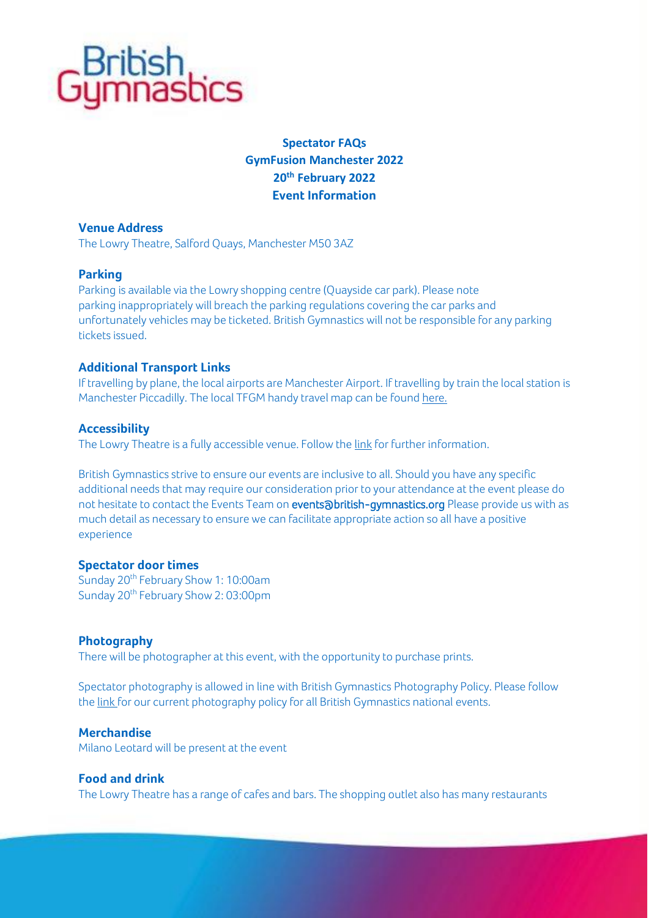

# **Spectator FAQs GymFusion Manchester 2022 20th February 2022 Event Information**

# **Venue Address**

The Lowry Theatre, Salford Quays, Manchester M50 3AZ

### **Parking**

Parking is available via the Lowry shopping centre (Quayside car park). Please note parking inappropriately will breach the parking regulations covering the car parks and unfortunately vehicles may be ticketed. British Gymnastics will not be responsible for any parking tickets issued.

# **Additional Transport Links**

If travelling by plane, the local airports are Manchester Airport. If travelling by train the local station is Manchester Piccadilly. The local TFGM handy travel map can be foun[d here.](https://thelowry.com/visit-us/how-to-get-here/)

# **Accessibility**

The Lowry Theatre is a fully accessible venue. Follow th[e link](https://thelowry.com/visit-us/access/) for further information.

British Gymnastics strive to ensure our events are inclusive to all. Should you have any specific additional needs that may require our consideration prior to your attendance at the event please do not hesitate to contact the Events Team on **events@british-gymnastics.org** Please provide us with as much detail as necessary to ensure we can facilitate appropriate action so all have a positive experience

# **Spectator door times**

Sunday 20<sup>th</sup> February Show 1: 10:00am Sunday 20<sup>th</sup> February Show 2: 03:00pm

### **Photography**

There will be photographer at this event, with the opportunity to purchase prints.

Spectator photography is allowed in line with British Gymnastics Photography Policy. Please follow th[e link](https://www.british-gymnastics.org/governance) for our current photography policy for all British Gymnastics national events.

### **Merchandise**

Milano Leotard will be present at the event

### **Food and drink**

The Lowry Theatre has a range of cafes and bars. The shopping outlet also has many restaurants